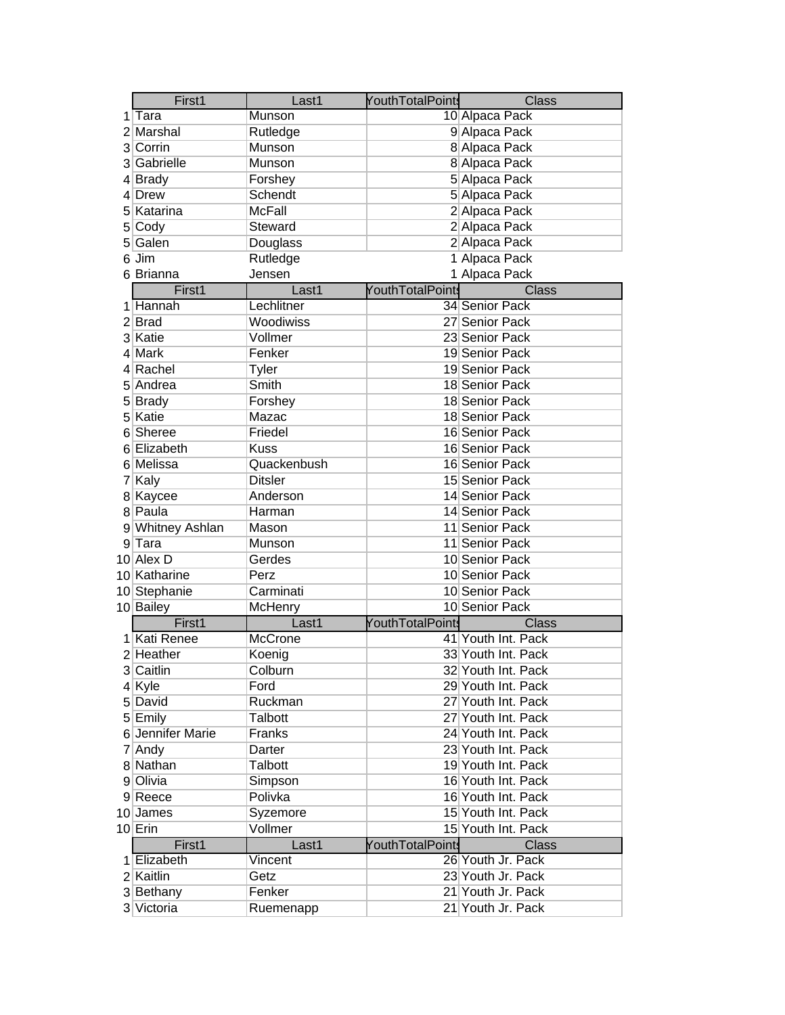|   | First1           | Last1          | YouthTotalPoints        | <b>Class</b>       |
|---|------------------|----------------|-------------------------|--------------------|
|   | ∣Tara            | Munson         |                         | 10 Alpaca Pack     |
|   | 2 Marshal        | Rutledge       |                         | 9 Alpaca Pack      |
|   | 3 Corrin         | Munson         |                         | 8 Alpaca Pack      |
|   | 3 Gabrielle      | Munson         |                         | 8 Alpaca Pack      |
|   | 4 Brady          | Forshey        |                         | 5 Alpaca Pack      |
|   | 4 Drew           | Schendt        |                         | 5 Alpaca Pack      |
|   | 5 Katarina       | McFall         |                         | 2 Alpaca Pack      |
|   | 5 Cody           | Steward        |                         | 2 Alpaca Pack      |
|   | 5 Galen          | Douglass       |                         | 2 Alpaca Pack      |
|   | 6 Jim            | Rutledge       |                         | 1 Alpaca Pack      |
|   | 6 Brianna        | Jensen         |                         | 1 Alpaca Pack      |
|   | First1           | Last1          | <b>YouthTotalPoints</b> | <b>Class</b>       |
|   | 1 Hannah         | Lechlitner     |                         | 34 Senior Pack     |
|   | 2 Brad           | Woodiwiss      |                         | 27 Senior Pack     |
|   | 3 Katie          | Vollmer        |                         | 23 Senior Pack     |
|   | 4 Mark           | Fenker         |                         | 19 Senior Pack     |
|   | 4 Rachel         | Tyler          |                         | 19 Senior Pack     |
|   | 5 Andrea         | Smith          |                         | 18 Senior Pack     |
|   | 5 Brady          | Forshey        |                         | 18 Senior Pack     |
|   | 5 Katie          | Mazac          |                         | 18 Senior Pack     |
| 6 | Sheree           | Friedel        |                         | 16 Senior Pack     |
|   | 6 Elizabeth      | <b>Kuss</b>    |                         | 16 Senior Pack     |
|   | 6 Melissa        | Quackenbush    |                         | 16 Senior Pack     |
|   | 7 Kaly           | <b>Ditsler</b> |                         | 15 Senior Pack     |
|   | 8 Kaycee         | Anderson       |                         | 14 Senior Pack     |
|   | 8 Paula          | Harman         |                         | 14 Senior Pack     |
|   | 9 Whitney Ashlan | Mason          |                         | 11 Senior Pack     |
|   | $9$ Tara         | Munson         |                         | 11 Senior Pack     |
|   | 10 Alex D        | Gerdes         |                         | 10 Senior Pack     |
|   | 10 Katharine     | Perz           |                         | 10 Senior Pack     |
|   | 10 Stephanie     | Carminati      |                         | 10 Senior Pack     |
|   | 10 Bailey        | McHenry        |                         | 10 Senior Pack     |
|   | First1           | Last1          | YouthTotalPoints        | <b>Class</b>       |
|   | 1 Kati Renee     | McCrone        |                         | 41 Youth Int. Pack |
|   | $2$ Heather      | Koenig         |                         | 33 Youth Int. Pack |
|   | 3 Caitlin        | Colburn        |                         | 32∣Youth Int. Pack |
|   | 4 Kyle           | Ford           |                         | 29 Youth Int. Pack |
|   | 5 David          | Ruckman        |                         | 27 Youth Int. Pack |
|   | 5 Emily          | Talbott        |                         | 27 Youth Int. Pack |
|   | 6 Jennifer Marie | Franks         |                         | 24 Youth Int. Pack |
|   | 7 Andy           | Darter         |                         | 23 Youth Int. Pack |
|   | 8 Nathan         | Talbott        |                         | 19 Youth Int. Pack |
|   | 9 Olivia         | Simpson        |                         | 16 Youth Int. Pack |
|   | 9 Reece          | Polivka        |                         | 16 Youth Int. Pack |
|   | 10 James         | Syzemore       |                         | 15 Youth Int. Pack |
|   | $10$ Erin        | Vollmer        |                         | 15 Youth Int. Pack |
|   | First1           | Last1          | YouthTotalPoints        | Class              |
|   | 1 Elizabeth      | Vincent        |                         | 26 Youth Jr. Pack  |
|   | 2 Kaitlin        | Getz           |                         | 23 Youth Jr. Pack  |
|   | 3 Bethany        | Fenker         |                         | 21 Youth Jr. Pack  |
|   | 3 Victoria       | Ruemenapp      |                         | 21 Youth Jr. Pack  |